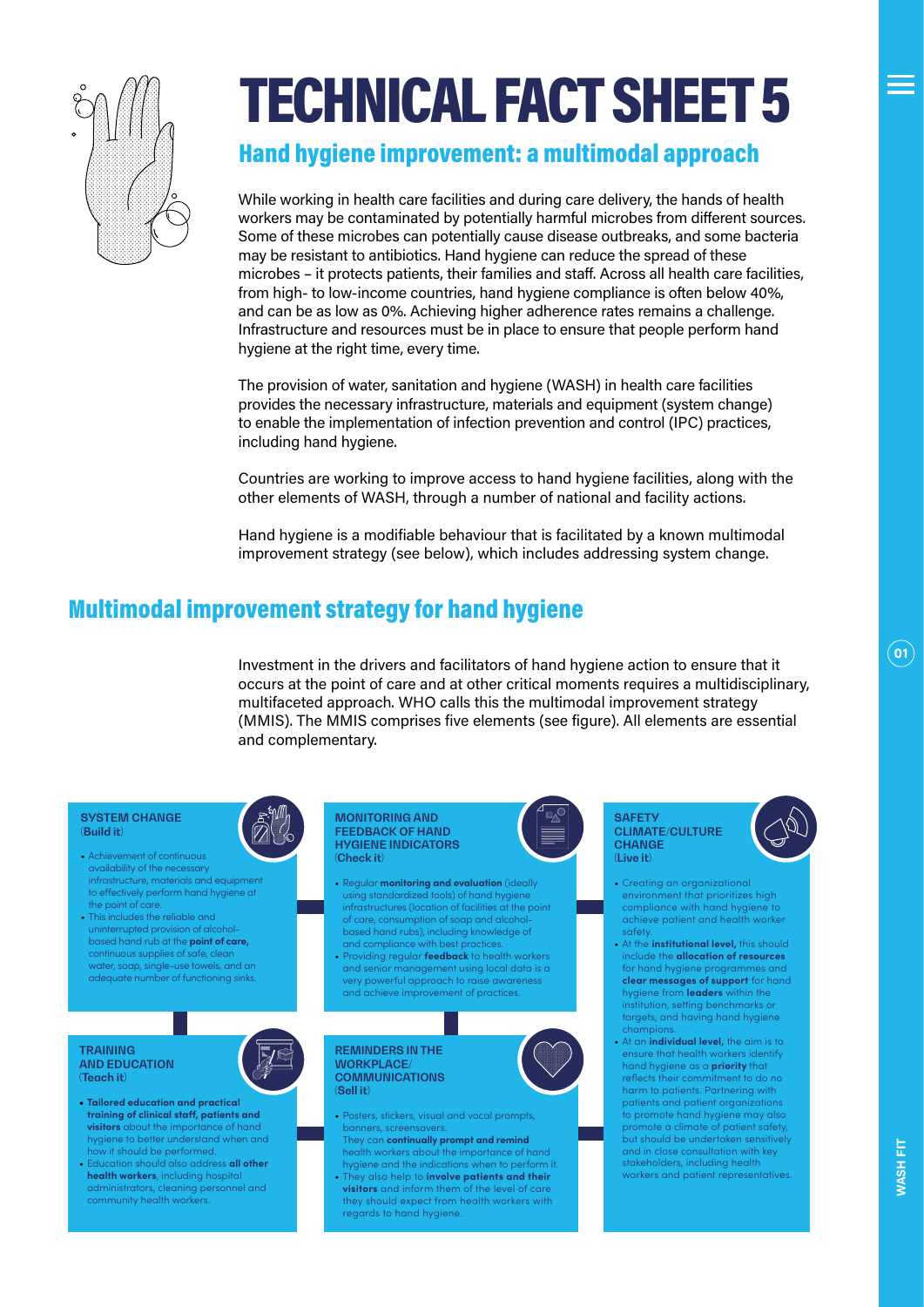

# TECHNICAL FACT SHEET 5

### Hand hygiene improvement: a multimodal approach

While working in health care facilities and during care delivery, the hands of health workers may be contaminated by potentially harmful microbes from different sources. Some of these microbes can potentially cause disease outbreaks, and some bacteria may be resistant to antibiotics. Hand hygiene can reduce the spread of these microbes – it protects patients, their families and staff. Across all health care facilities, from high- to low-income countries, hand hygiene compliance is often below 40%, and can be as low as 0%. Achieving higher adherence rates remains a challenge. Infrastructure and resources must be in place to ensure that people perform hand hygiene at the right time, every time.

The provision of water, sanitation and hygiene (WASH) in health care facilities provides the necessary infrastructure, materials and equipment (system change) to enable the implementation of infection prevention and control (IPC) practices, including hand hygiene.

Countries are working to improve access to hand hygiene facilities, along with the other elements of WASH, through a number of national and facility actions.

Hand hygiene is a modifiable behaviour that is facilitated by a known multimodal improvement strategy (see below), which includes addressing system change.

### Multimodal improvement strategy for hand hygiene

Investment in the drivers and facilitators of hand hygiene action to ensure that it occurs at the point of care and at other critical moments requires a multidisciplinary, multifaceted approach. WHO calls this the multimodal improvement strategy (MMIS). The MMIS comprises five elements (see figure). All elements are essential and complementary.



**01**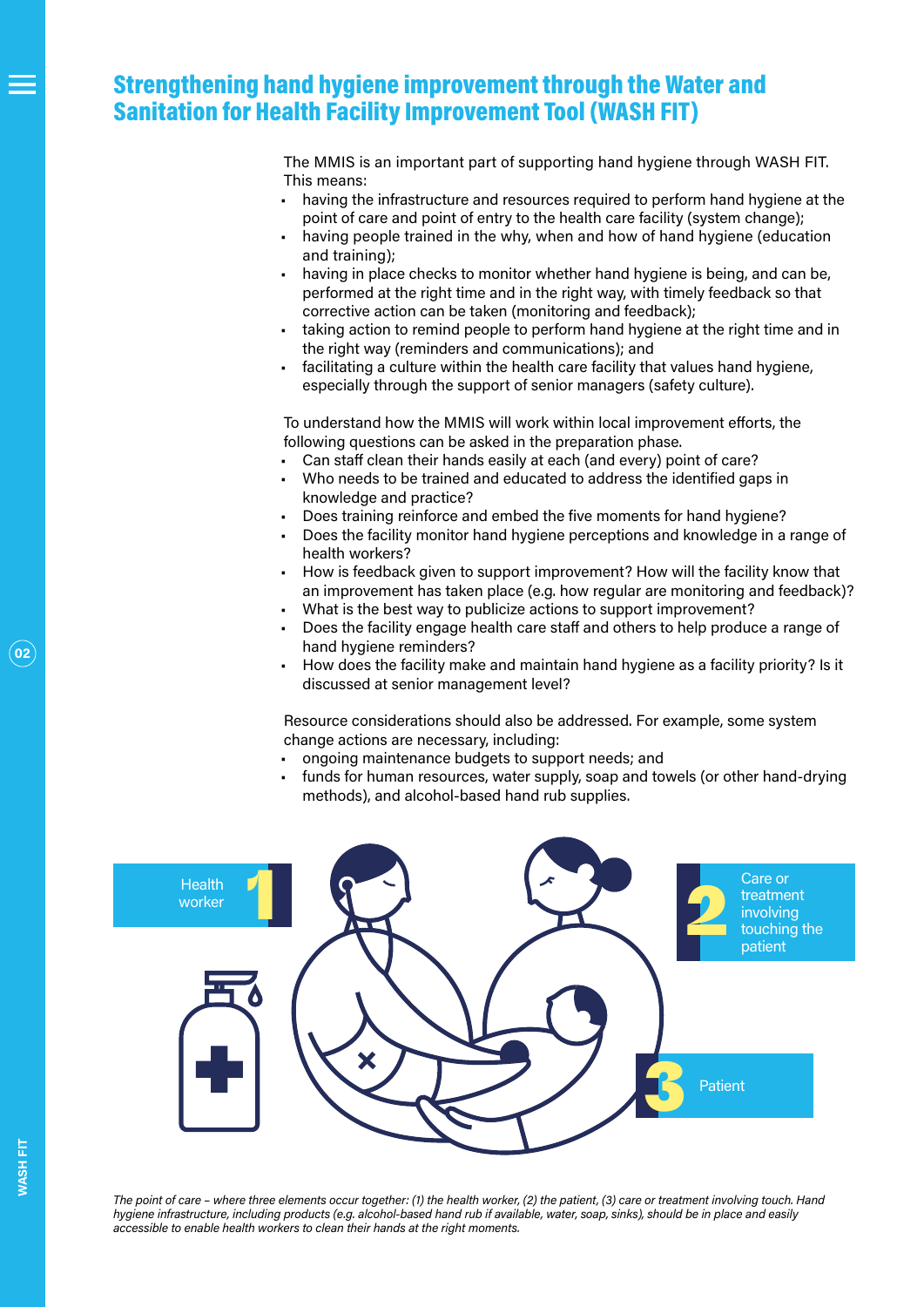### Strengthening hand hygiene improvement through the Water and Sanitation for Health Facility Improvement Tool (WASH FIT)

The MMIS is an important part of supporting hand hygiene through WASH FIT. This means:

- having the infrastructure and resources required to perform hand hygiene at the point of care and point of entry to the health care facility (system change);
- having people trained in the why, when and how of hand hygiene (education and training);
- having in place checks to monitor whether hand hygiene is being, and can be, performed at the right time and in the right way, with timely feedback so that corrective action can be taken (monitoring and feedback);
- taking action to remind people to perform hand hygiene at the right time and in the right way (reminders and communications); and
- facilitating a culture within the health care facility that values hand hygiene, especially through the support of senior managers (safety culture).

To understand how the MMIS will work within local improvement efforts, the following questions can be asked in the preparation phase.

- Can staff clean their hands easily at each (and every) point of care?
- Who needs to be trained and educated to address the identified gaps in knowledge and practice?
- Does training reinforce and embed the five moments for hand hygiene?
- Does the facility monitor hand hygiene perceptions and knowledge in a range of health workers?
- How is feedback given to support improvement? How will the facility know that an improvement has taken place (e.g. how regular are monitoring and feedback)?
- What is the best way to publicize actions to support improvement?
- Does the facility engage health care staff and others to help produce a range of hand hygiene reminders?
- How does the facility make and maintain hand hygiene as a facility priority? Is it discussed at senior management level?

Resource considerations should also be addressed. For example, some system change actions are necessary, including:

- ongoing maintenance budgets to support needs; and
- funds for human resources, water supply, soap and towels (or other hand-drying methods), and alcohol-based hand rub supplies.



*The point of care – where three elements occur together: (1) the health worker, (2) the patient, (3) care or treatment involving touch. Hand hygiene infrastructure, including products (e.g. alcohol-based hand rub if available, water, soap, sinks), should be in place and easily accessible to enable health workers to clean their hands at the right moments.*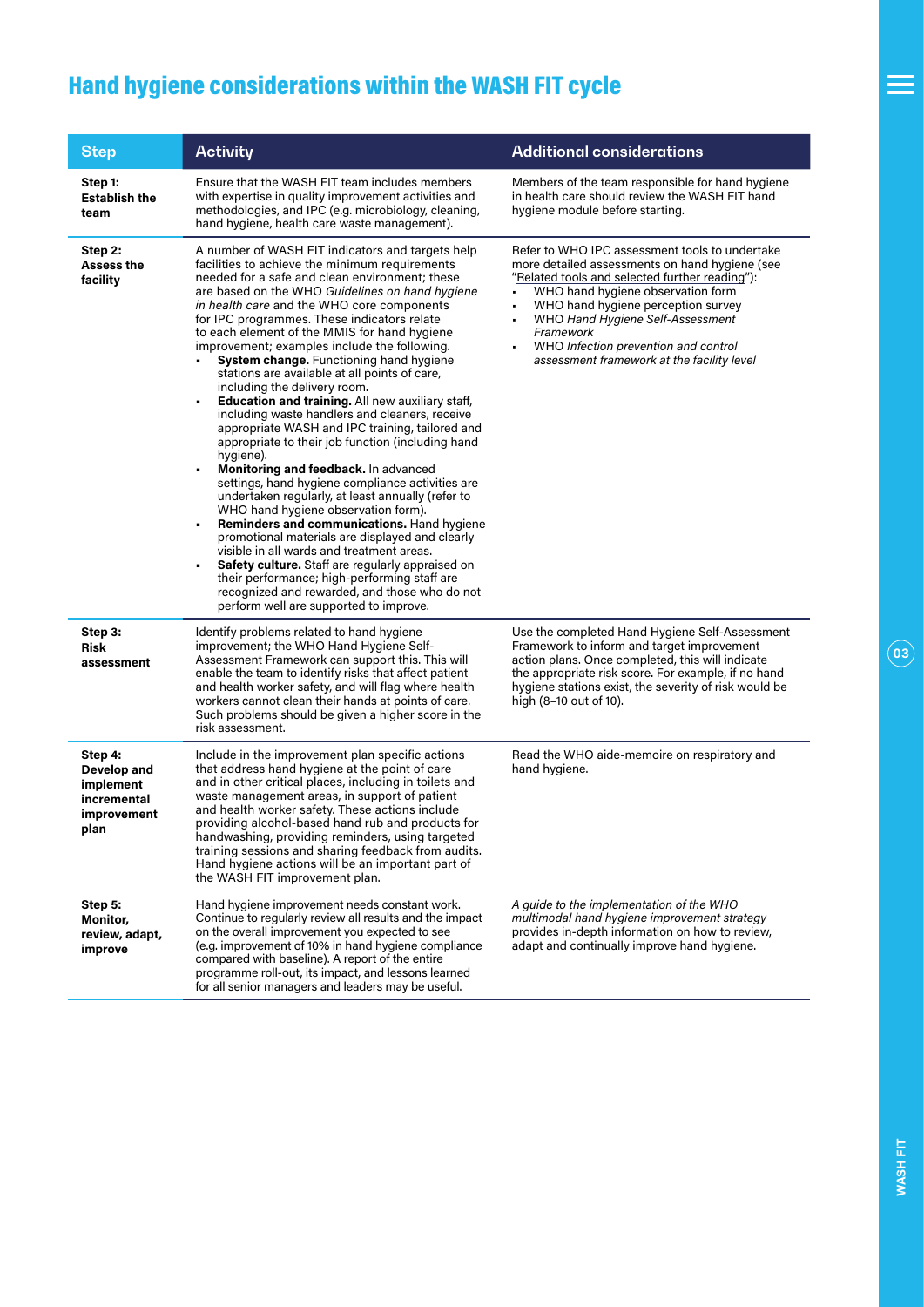## Hand hygiene considerations within the WASH FIT cycle

| <b>Step</b>                                                               | <b>Activity</b>                                                                                                                                                                                                                                                                                                                                                                                                                                                                                                                                                                                                                                                                                                                                                                                                                                                                                                                                                                                                                                                                                                                                                                                                                                                                                         | <b>Additional considerations</b>                                                                                                                                                                                                                                                                                                                                                            |
|---------------------------------------------------------------------------|---------------------------------------------------------------------------------------------------------------------------------------------------------------------------------------------------------------------------------------------------------------------------------------------------------------------------------------------------------------------------------------------------------------------------------------------------------------------------------------------------------------------------------------------------------------------------------------------------------------------------------------------------------------------------------------------------------------------------------------------------------------------------------------------------------------------------------------------------------------------------------------------------------------------------------------------------------------------------------------------------------------------------------------------------------------------------------------------------------------------------------------------------------------------------------------------------------------------------------------------------------------------------------------------------------|---------------------------------------------------------------------------------------------------------------------------------------------------------------------------------------------------------------------------------------------------------------------------------------------------------------------------------------------------------------------------------------------|
| Step 1:<br><b>Establish the</b><br>team                                   | Ensure that the WASH FIT team includes members<br>with expertise in quality improvement activities and<br>methodologies, and IPC (e.g. microbiology, cleaning,<br>hand hygiene, health care waste management).                                                                                                                                                                                                                                                                                                                                                                                                                                                                                                                                                                                                                                                                                                                                                                                                                                                                                                                                                                                                                                                                                          | Members of the team responsible for hand hygiene<br>in health care should review the WASH FIT hand<br>hygiene module before starting.                                                                                                                                                                                                                                                       |
| Step 2:<br><b>Assess the</b><br>facility                                  | A number of WASH FIT indicators and targets help<br>facilities to achieve the minimum requirements<br>needed for a safe and clean environment; these<br>are based on the WHO Guidelines on hand hygiene<br>in health care and the WHO core components<br>for IPC programmes. These indicators relate<br>to each element of the MMIS for hand hygiene<br>improvement; examples include the following.<br>System change. Functioning hand hygiene<br>stations are available at all points of care,<br>including the delivery room.<br>Education and training. All new auxiliary staff,<br>including waste handlers and cleaners, receive<br>appropriate WASH and IPC training, tailored and<br>appropriate to their job function (including hand<br>hygiene).<br>Monitoring and feedback. In advanced<br>settings, hand hygiene compliance activities are<br>undertaken regularly, at least annually (refer to<br>WHO hand hygiene observation form).<br><b>Reminders and communications.</b> Hand hygiene<br>promotional materials are displayed and clearly<br>visible in all wards and treatment areas.<br>Safety culture. Staff are regularly appraised on<br>their performance; high-performing staff are<br>recognized and rewarded, and those who do not<br>perform well are supported to improve. | Refer to WHO IPC assessment tools to undertake<br>more detailed assessments on hand hygiene (see<br>"Related tools and selected further reading"):<br>WHO hand hygiene observation form<br>WHO hand hygiene perception survey<br>٠<br>WHO Hand Hygiene Self-Assessment<br>$\blacksquare$<br>Framework<br>WHO Infection prevention and control<br>assessment framework at the facility level |
| Step 3:<br>Risk<br>assessment                                             | Identify problems related to hand hygiene<br>improvement; the WHO Hand Hygiene Self-<br>Assessment Framework can support this. This will<br>enable the team to identify risks that affect patient<br>and health worker safety, and will flag where health<br>workers cannot clean their hands at points of care.<br>Such problems should be given a higher score in the<br>risk assessment.                                                                                                                                                                                                                                                                                                                                                                                                                                                                                                                                                                                                                                                                                                                                                                                                                                                                                                             | Use the completed Hand Hygiene Self-Assessment<br>Framework to inform and target improvement<br>action plans. Once completed, this will indicate<br>the appropriate risk score. For example, if no hand<br>hygiene stations exist, the severity of risk would be<br>high (8–10 out of 10).                                                                                                  |
| Step 4:<br>Develop and<br>implement<br>incremental<br>improvement<br>plan | Include in the improvement plan specific actions<br>that address hand hygiene at the point of care<br>and in other critical places, including in toilets and<br>waste management areas, in support of patient<br>and health worker safety. These actions include<br>providing alcohol-based hand rub and products for<br>handwashing, providing reminders, using targeted<br>training sessions and sharing feedback from audits.<br>Hand hygiene actions will be an important part of<br>the WASH FIT improvement plan.                                                                                                                                                                                                                                                                                                                                                                                                                                                                                                                                                                                                                                                                                                                                                                                 | Read the WHO aide-memoire on respiratory and<br>hand hygiene.                                                                                                                                                                                                                                                                                                                               |
| Step 5:<br>Monitor,<br>review, adapt,<br>improve                          | Hand hygiene improvement needs constant work.<br>Continue to regularly review all results and the impact<br>on the overall improvement you expected to see<br>(e.g. improvement of 10% in hand hygiene compliance<br>compared with baseline). A report of the entire<br>programme roll-out, its impact, and lessons learned<br>for all senior managers and leaders may be useful.                                                                                                                                                                                                                                                                                                                                                                                                                                                                                                                                                                                                                                                                                                                                                                                                                                                                                                                       | A guide to the implementation of the WHO<br>multimodal hand hygiene improvement strategy<br>provides in-depth information on how to review,<br>adapt and continually improve hand hygiene.                                                                                                                                                                                                  |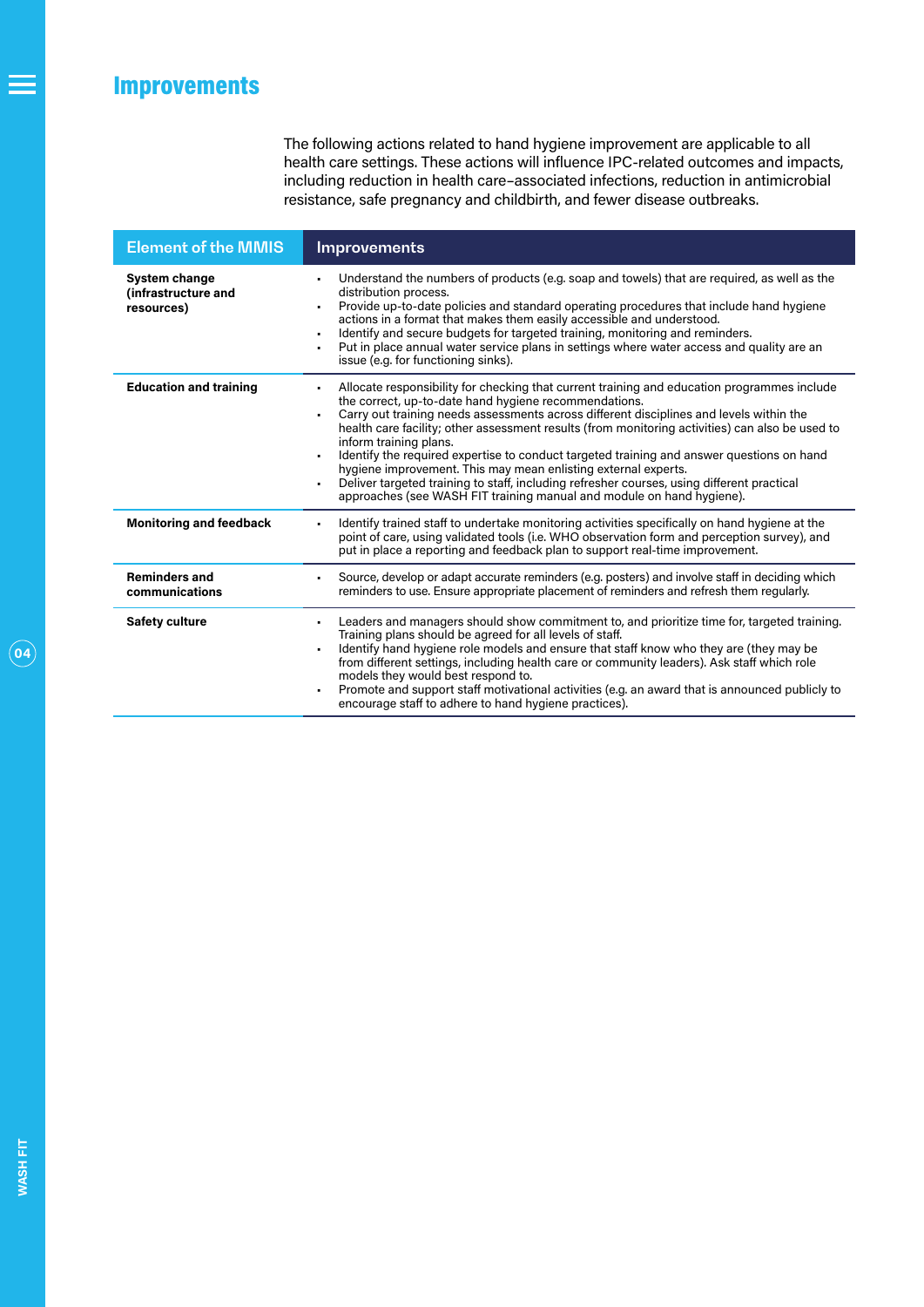The following actions related to hand hygiene improvement are applicable to all health care settings. These actions will influence IPC-related outcomes and impacts, including reduction in health care–associated infections, reduction in antimicrobial resistance, safe pregnancy and childbirth, and fewer disease outbreaks.

<span id="page-3-0"></span>

| <b>Element of the MMIS</b>                         | Improvements                                                                                                                                                                                                                                                                                                                                                                                                                                                                                                                                                                                                                                                                                                                 |
|----------------------------------------------------|------------------------------------------------------------------------------------------------------------------------------------------------------------------------------------------------------------------------------------------------------------------------------------------------------------------------------------------------------------------------------------------------------------------------------------------------------------------------------------------------------------------------------------------------------------------------------------------------------------------------------------------------------------------------------------------------------------------------------|
| System change<br>(infrastructure and<br>resources) | Understand the numbers of products (e.g. soap and towels) that are required, as well as the<br>distribution process.<br>Provide up-to-date policies and standard operating procedures that include hand hygiene<br>٠<br>actions in a format that makes them easily accessible and understood.<br>Identify and secure budgets for targeted training, monitoring and reminders.<br>٠<br>Put in place annual water service plans in settings where water access and quality are an<br>٠<br>issue (e.g. for functioning sinks).                                                                                                                                                                                                  |
| <b>Education and training</b>                      | Allocate responsibility for checking that current training and education programmes include<br>the correct, up-to-date hand hygiene recommendations.<br>Carry out training needs assessments across different disciplines and levels within the<br>health care facility; other assessment results (from monitoring activities) can also be used to<br>inform training plans.<br>Identify the required expertise to conduct targeted training and answer questions on hand<br>٠<br>hygiene improvement. This may mean enlisting external experts.<br>Deliver targeted training to staff, including refresher courses, using different practical<br>٠<br>approaches (see WASH FIT training manual and module on hand hygiene). |
| <b>Monitoring and feedback</b>                     | Identify trained staff to undertake monitoring activities specifically on hand hygiene at the<br>٠<br>point of care, using validated tools (i.e. WHO observation form and perception survey), and<br>put in place a reporting and feedback plan to support real-time improvement.                                                                                                                                                                                                                                                                                                                                                                                                                                            |
| <b>Reminders and</b><br>communications             | Source, develop or adapt accurate reminders (e.g. posters) and involve staff in deciding which<br>٠<br>reminders to use. Ensure appropriate placement of reminders and refresh them regularly.                                                                                                                                                                                                                                                                                                                                                                                                                                                                                                                               |
| <b>Safety culture</b>                              | Leaders and managers should show commitment to, and prioritize time for, targeted training.<br>٠<br>Training plans should be agreed for all levels of staff.<br>Identify hand hygiene role models and ensure that staff know who they are (they may be<br>٠<br>from different settings, including health care or community leaders). Ask staff which role<br>models they would best respond to.<br>Promote and support staff motivational activities (e.g. an award that is announced publicly to<br>encourage staff to adhere to hand hygiene practices).                                                                                                                                                                   |